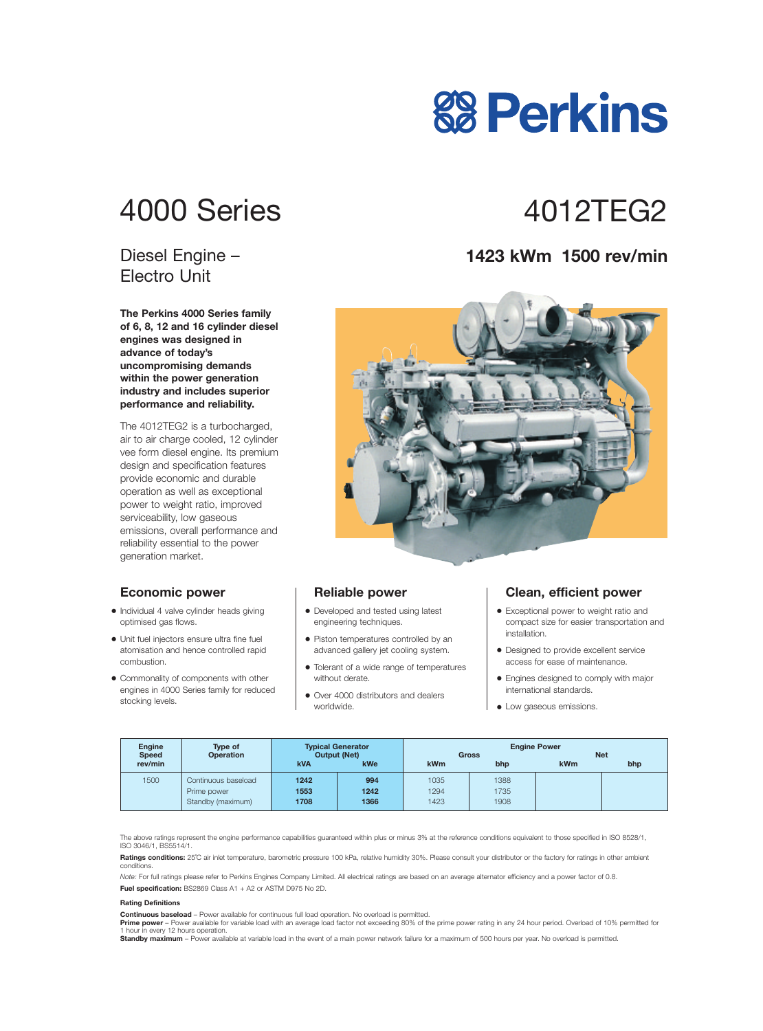# 4000 Series 4012TFG2

### Diesel Engine – Electro Unit

**The Perkins 4000 Series family of 6, 8, 12 and 16 cylinder diesel engines was designed in advance of today's uncompromising demands within the power generation industry and includes superior performance and reliability.**

The 4012TEG2 is a turbocharged, air to air charge cooled, 12 cylinder vee form diesel engine. Its premium design and specification features provide economic and durable operation as well as exceptional power to weight ratio, improved serviceability, low gaseous emissions, overall performance and reliability essential to the power generation market.

#### **Economic power**

- **•** Individual 4 valve cylinder heads giving optimised gas flows.
- **•** Unit fuel injectors ensure ultra fine fuel atomisation and hence controlled rapid combustion.
- **•** Commonality of components with other engines in 4000 Series family for reduced stocking levels.

#### **Reliable power**

- **•** Developed and tested using latest engineering techniques.
- **•** Piston temperatures controlled by an advanced gallery jet cooling system.
- **•** Tolerant of a wide range of temperatures without derate.
- **•** Over 4000 distributors and dealers worldwide.

#### **Clean, efficient power**

- **•** Exceptional power to weight ratio and compact size for easier transportation and installation.
- **•** Designed to provide excellent service access for ease of maintenance.
- **•** Engines designed to comply with major international standards.
- **•** Low gaseous emissions.

| <b>Engine</b><br><b>Speed</b> | Type of<br><b>Operation</b> | <b>Typical Generator</b><br><b>Output (Net)</b> |            | <b>Engine Power</b><br><b>Net</b><br><b>Gross</b> |      |     |     |
|-------------------------------|-----------------------------|-------------------------------------------------|------------|---------------------------------------------------|------|-----|-----|
| rev/min                       |                             | <b>kVA</b>                                      | <b>kWe</b> | <b>kWm</b>                                        | bhp  | kWm | bhp |
| 1500                          | Continuous baseload         | 1242                                            | 994        | 1035                                              | 1388 |     |     |
|                               | Prime power                 | 1553                                            | 1242       | 1294                                              | 1735 |     |     |
|                               | Standby (maximum)           | 1708                                            | 1366       | 423                                               | 1908 |     |     |

The above ratings represent the engine performance capabilities guaranteed within plus or minus 3% at the reference conditions equivalent to those specified in ISO 8528/1, ISO 3046/1, BS5514/1.

Ratings conditions: 25°C air inlet temperature, barometric pressure 100 kPa, relative humidity 30%. Please consult your distributor or the factory for ratings in other ambient conditions.

*Note:* For full ratings please refer to Perkins Engines Company Limited. All electrical ratings are based on an average alternator efficiency and a power factor of 0.8. **Fuel specification:** BS2869 Class A1 + A2 or ASTM D975 No 2D.

#### **Rating Definitions**

**Continuous baseload** – Power available for continuous full load operation. No overload is permitted.

Prime power - Power available for variable load with an average load factor not exceeding 80% of the prime power rating in any 24 hour period. Overload of 10% permitted for 1 hour in every 12 hours operation.

**Standby maximum** – Power available at variable load in the event of a main power network failure for a maximum of 500 hours per year. No overload is permitted.

### **1423 kWm 1500 rev/min**